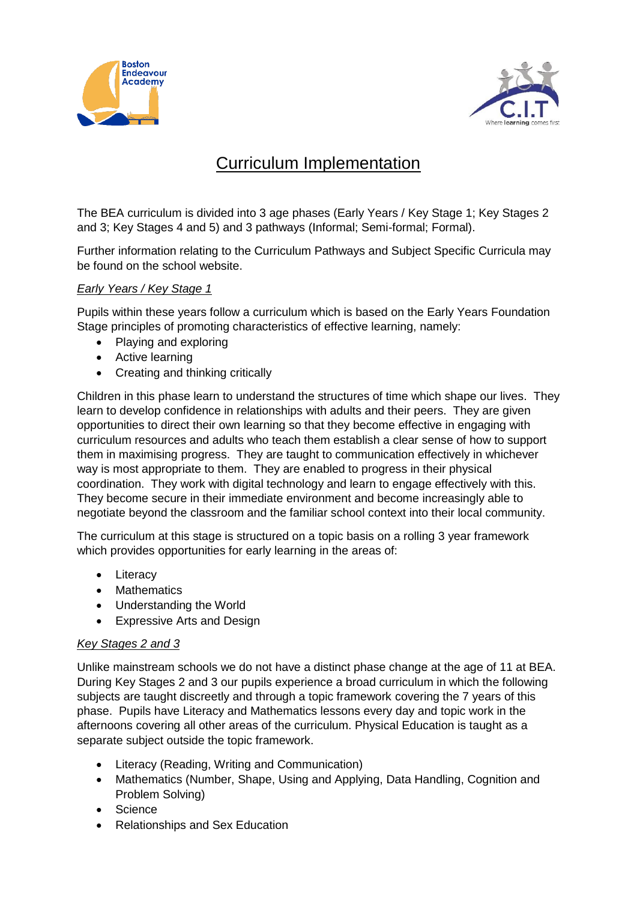



# Curriculum Implementation

The BEA curriculum is divided into 3 age phases (Early Years / Key Stage 1; Key Stages 2 and 3; Key Stages 4 and 5) and 3 pathways (Informal; Semi-formal; Formal).

Further information relating to the Curriculum Pathways and Subject Specific Curricula may be found on the school website.

# *Early Years / Key Stage 1*

Pupils within these years follow a curriculum which is based on the Early Years Foundation Stage principles of promoting characteristics of effective learning, namely:

- Plaving and exploring
- Active learning
- Creating and thinking critically

Children in this phase learn to understand the structures of time which shape our lives. They learn to develop confidence in relationships with adults and their peers. They are given opportunities to direct their own learning so that they become effective in engaging with curriculum resources and adults who teach them establish a clear sense of how to support them in maximising progress. They are taught to communication effectively in whichever way is most appropriate to them. They are enabled to progress in their physical coordination. They work with digital technology and learn to engage effectively with this. They become secure in their immediate environment and become increasingly able to negotiate beyond the classroom and the familiar school context into their local community.

The curriculum at this stage is structured on a topic basis on a rolling 3 year framework which provides opportunities for early learning in the areas of:

- Literacy
- Mathematics
- Understanding the World
- Expressive Arts and Design

# *Key Stages 2 and 3*

Unlike mainstream schools we do not have a distinct phase change at the age of 11 at BEA. During Key Stages 2 and 3 our pupils experience a broad curriculum in which the following subjects are taught discreetly and through a topic framework covering the 7 years of this phase. Pupils have Literacy and Mathematics lessons every day and topic work in the afternoons covering all other areas of the curriculum. Physical Education is taught as a separate subject outside the topic framework.

- Literacy (Reading, Writing and Communication)
- Mathematics (Number, Shape, Using and Applying, Data Handling, Cognition and Problem Solving)
- Science
- Relationships and Sex Education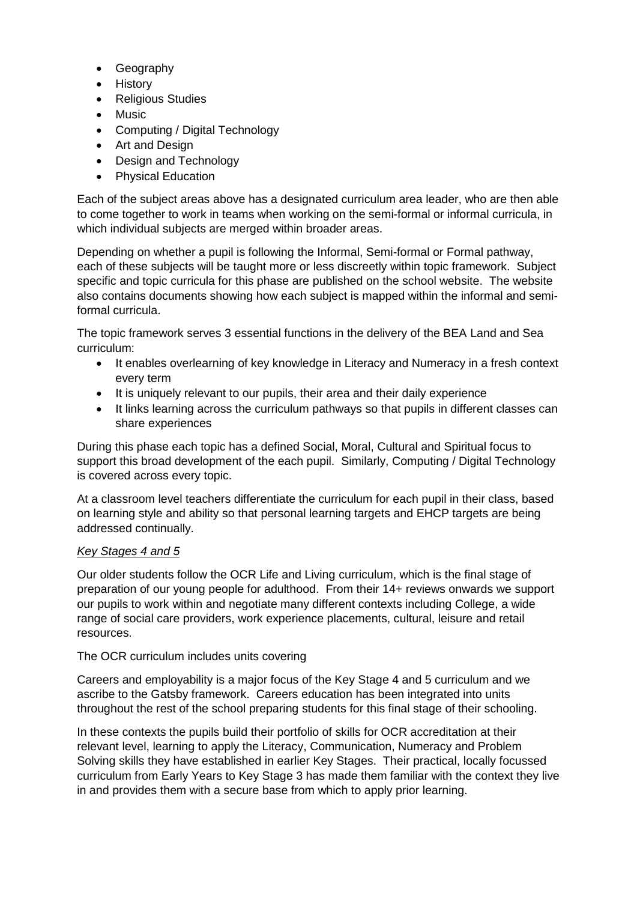- Geography
- **History**
- Religious Studies
- Music
- Computing / Digital Technology
- Art and Design
- Design and Technology
- Physical Education

Each of the subject areas above has a designated curriculum area leader, who are then able to come together to work in teams when working on the semi-formal or informal curricula, in which individual subjects are merged within broader areas.

Depending on whether a pupil is following the Informal, Semi-formal or Formal pathway, each of these subjects will be taught more or less discreetly within topic framework. Subject specific and topic curricula for this phase are published on the school website. The website also contains documents showing how each subject is mapped within the informal and semiformal curricula.

The topic framework serves 3 essential functions in the delivery of the BEA Land and Sea curriculum:

- It enables overlearning of key knowledge in Literacy and Numeracy in a fresh context every term
- It is uniquely relevant to our pupils, their area and their daily experience
- It links learning across the curriculum pathways so that pupils in different classes can share experiences

During this phase each topic has a defined Social, Moral, Cultural and Spiritual focus to support this broad development of the each pupil. Similarly, Computing / Digital Technology is covered across every topic.

At a classroom level teachers differentiate the curriculum for each pupil in their class, based on learning style and ability so that personal learning targets and EHCP targets are being addressed continually.

#### *Key Stages 4 and 5*

Our older students follow the OCR Life and Living curriculum, which is the final stage of preparation of our young people for adulthood. From their 14+ reviews onwards we support our pupils to work within and negotiate many different contexts including College, a wide range of social care providers, work experience placements, cultural, leisure and retail resources.

#### The OCR curriculum includes units covering

Careers and employability is a major focus of the Key Stage 4 and 5 curriculum and we ascribe to the Gatsby framework. Careers education has been integrated into units throughout the rest of the school preparing students for this final stage of their schooling.

In these contexts the pupils build their portfolio of skills for OCR accreditation at their relevant level, learning to apply the Literacy, Communication, Numeracy and Problem Solving skills they have established in earlier Key Stages. Their practical, locally focussed curriculum from Early Years to Key Stage 3 has made them familiar with the context they live in and provides them with a secure base from which to apply prior learning.